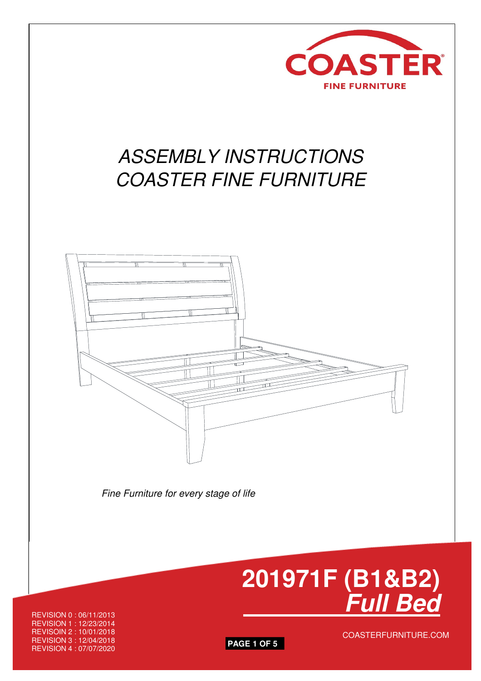

# ASSEMBLY INSTRUCTIONS COASTER FINE FURNITURE



Fine Furniture for every stage of life



REVISION 0 : 06/11/2013 REVISION 1 : 12/23/2014 REVISOIN 2 : 10/01/2018<br>REVISION 3 : 12/04/2018 COASTERFURNITURE.COM REVISION 4 : 07/07/2020 **PAGE 1 OF 5**

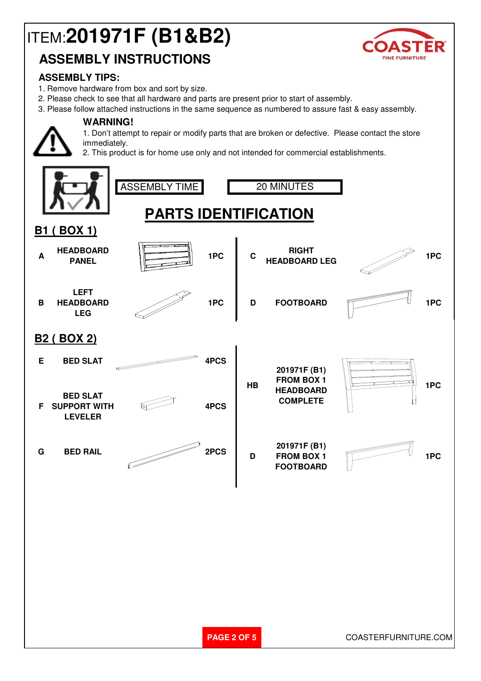# ITEM:**201971F (B1&B2)**



## **ASSEMBLY INSTRUCTIONS**

#### **ASSEMBLY TIPS:**

1. Remove hardware from box and sort by size.

**WARNING!**

- 2. Please check to see that all hardware and parts are present prior to start of assembly.
- 3. Please follow attached instructions in the same sequence as numbered to assure fast & easy assembly.

1. Don't attempt to repair or modify parts that are broken or defective. Please contact the store immediately.

2. This product is for home use only and not intended for commercial establishments.

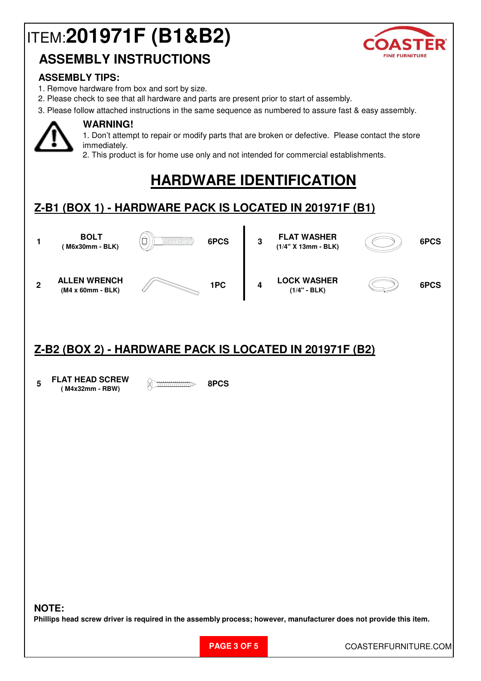# ITEM:**201971F (B1&B2)**





#### **ASSEMBLY TIPS:**

- 1. Remove hardware from box and sort by size.
- 2. Please check to see that all hardware and parts are present prior to start of assembly.
- 3. Please follow attached instructions in the same sequence as numbered to assure fast & easy assembly.



### **WARNING!**

1. Don't attempt to repair or modify parts that are broken or defective. Please contact the store immediately.

2. This product is for home use only and not intended for commercial establishments.

# **HARDWARE IDENTIFICATION**

### **Z-B1 (BOX 1) - HARDWARE PACK IS LOCATED IN 201971F (B1)**



### **Z-B2 (BOX 2) - HARDWARE PACK IS LOCATED IN 201971F (B2)**

**5 FLAT HEAD SCREW ( M4x32mm - RBW) 8PCS**

#### **NOTE:**

**Phillips head screw driver is required in the assembly process; however, manufacturer does not provide this item.**

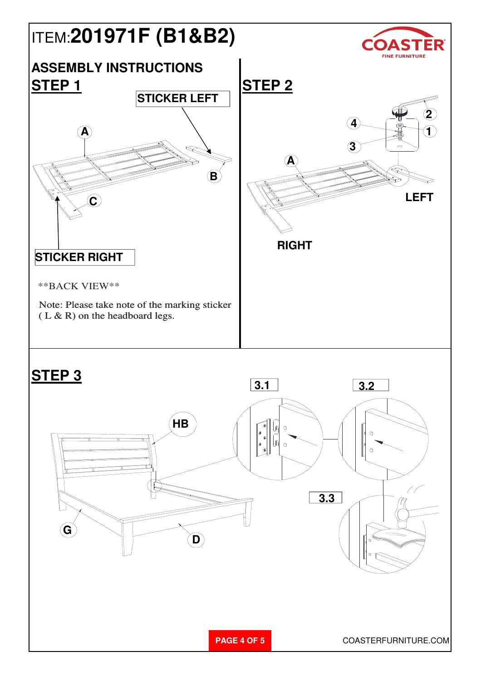

**PAGE 4 OF 5** COASTERFURNITURE.COM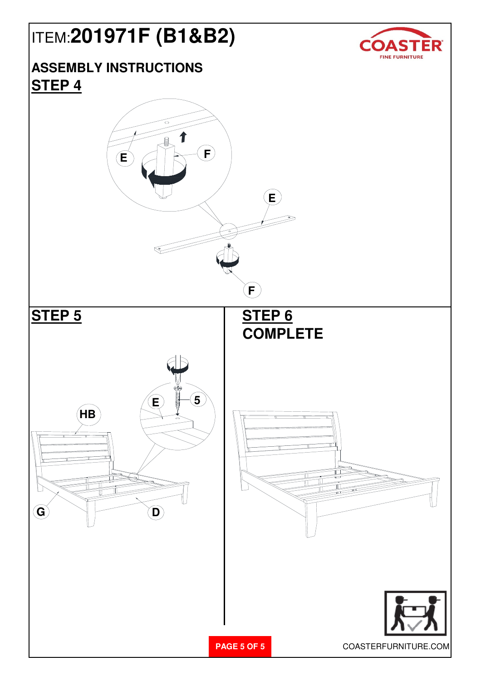